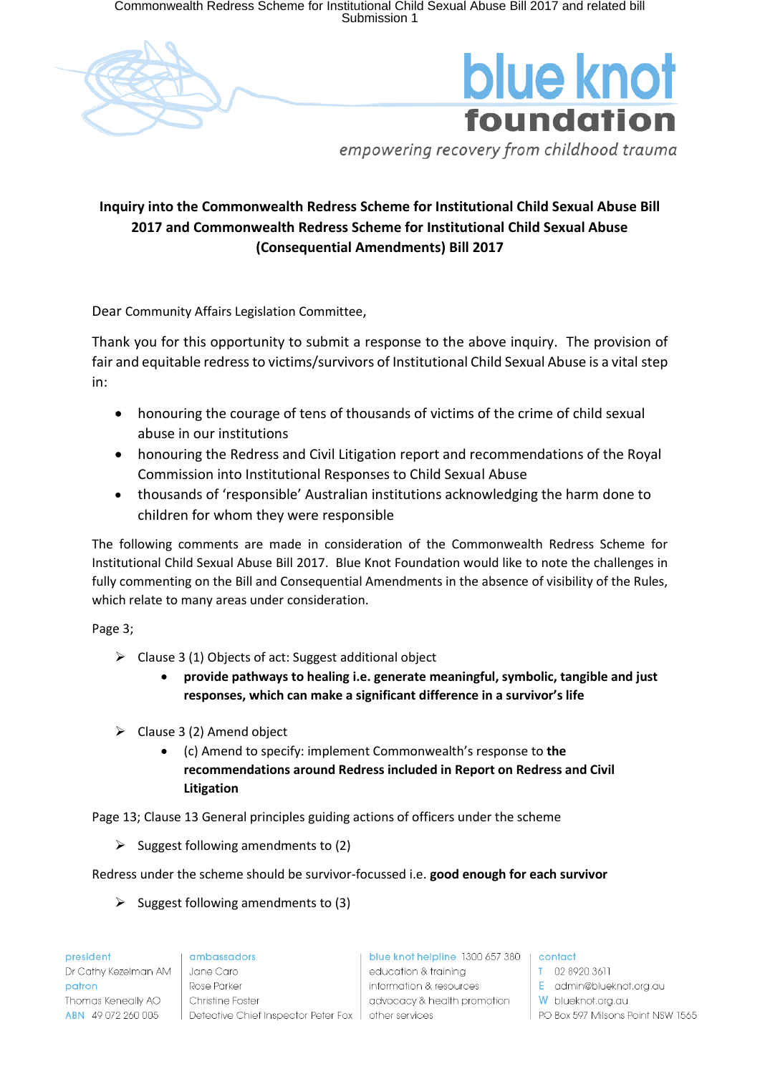Commonwealth Redress Scheme for Institutional Child Sexual Abuse Bill 2017 and related bill Submission 1





empowering recovery from childhood trauma

## **Inquiry into the Commonwealth Redress Scheme for Institutional Child Sexual Abuse Bill 2017 and Commonwealth Redress Scheme for Institutional Child Sexual Abuse (Consequential Amendments) Bill 2017**

Dear Community Affairs Legislation Committee,

Thank you for this opportunity to submit a response to the above inquiry. The provision of fair and equitable redress to victims/survivors of Institutional Child Sexual Abuse is a vital step in:

- honouring the courage of tens of thousands of victims of the crime of child sexual abuse in our institutions
- honouring the Redress and Civil Litigation report and recommendations of the Royal Commission into Institutional Responses to Child Sexual Abuse
- thousands of 'responsible' Australian institutions acknowledging the harm done to children for whom they were responsible

The following comments are made in consideration of the Commonwealth Redress Scheme for Institutional Child Sexual Abuse Bill 2017. Blue Knot Foundation would like to note the challenges in fully commenting on the Bill and Consequential Amendments in the absence of visibility of the Rules, which relate to many areas under consideration.

Page 3;

- $\triangleright$  Clause 3 (1) Objects of act: Suggest additional object
	- **provide pathways to healing i.e. generate meaningful, symbolic, tangible and just responses, which can make a significant difference in a survivor's life**
- $\triangleright$  Clause 3 (2) Amend object
	- (c) Amend to specify: implement Commonwealth's response to **the recommendations around Redress included in Report on Redress and Civil Litigation**

Page 13; Clause 13 General principles guiding actions of officers under the scheme

 $\triangleright$  Suggest following amendments to (2)

Redress under the scheme should be survivor-focussed i.e. **good enough for each survivor**

 $\triangleright$  Suggest following amendments to (3)

president Dr Cathy Kezelman AM patron Thomas Keneally AO ABN 49 072 260 005

ambassadors Jane Caro Rose Parker Christine Foster Detective Chief Inspector Peter Fox | other services

blue knot helpline 1300 657 380 | contact education & trainina information & resources advocacy & health promotion

T 02 8920 3611 E admin@blueknot.org.au W blueknot.org.au PO Box 597 Milsons Point NSW 1565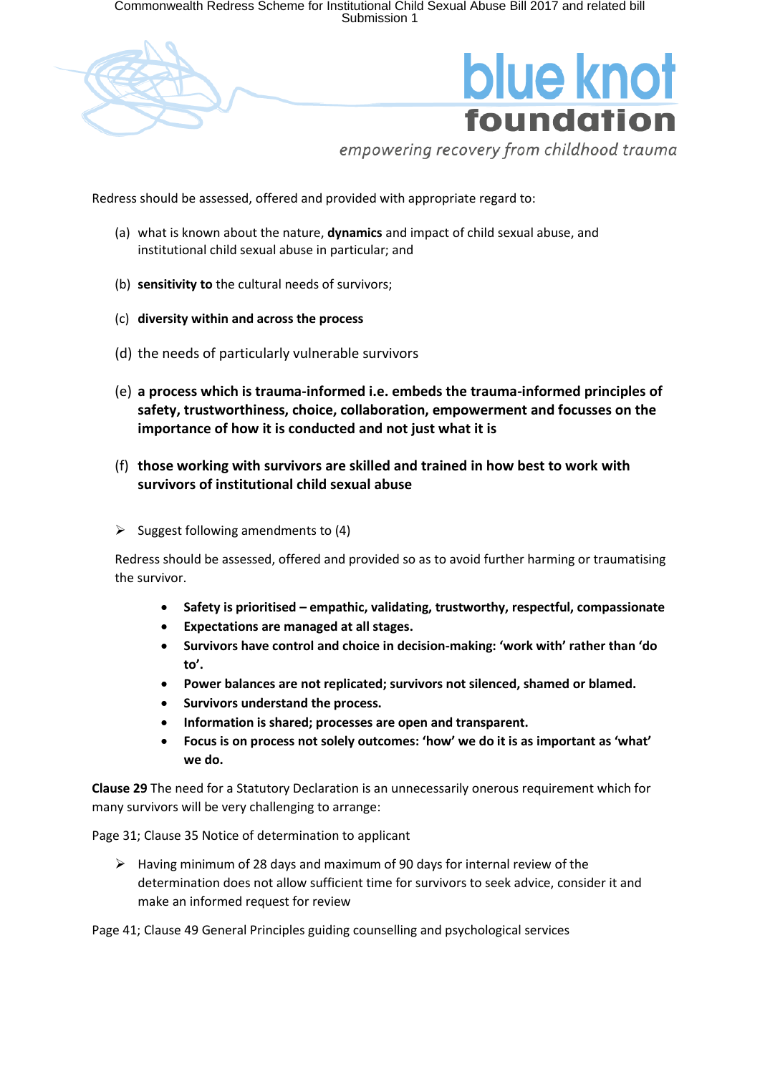Commonwealth Redress Scheme for Institutional Child Sexual Abuse Bill 2017 and related bill<br>Submission 1



## blue knot foundation

empowering recovery from childhood trauma

Redress should be assessed, offered and provided with appropriate regard to:

- (a) what is known about the nature, **dynamics** and impact of child sexual abuse, and institutional child sexual abuse in particular; and
- (b) **sensitivity to** the cultural needs of survivors;
- (c) **diversity within and across the process**
- (d) the needs of particularly vulnerable survivors
- (e) **a process which is trauma-informed i.e. embeds the trauma-informed principles of safety, trustworthiness, choice, collaboration, empowerment and focusses on the importance of how it is conducted and not just what it is**
- (f) **those working with survivors are skilled and trained in how best to work with survivors of institutional child sexual abuse**
- $\triangleright$  Suggest following amendments to (4)

Redress should be assessed, offered and provided so as to avoid further harming or traumatising the survivor.

- **Safety is prioritised – empathic, validating, trustworthy, respectful, compassionate**
- **Expectations are managed at all stages.**
- **Survivors have control and choice in decision-making: 'work with' rather than 'do to'.**
- **Power balances are not replicated; survivors not silenced, shamed or blamed.**
- **Survivors understand the process.**
- **Information is shared; processes are open and transparent.**
- **Focus is on process not solely outcomes: 'how' we do it is as important as 'what' we do.**

**Clause 29** The need for a Statutory Declaration is an unnecessarily onerous requirement which for many survivors will be very challenging to arrange:

Page 31; Clause 35 Notice of determination to applicant

 $\triangleright$  Having minimum of 28 days and maximum of 90 days for internal review of the determination does not allow sufficient time for survivors to seek advice, consider it and make an informed request for review

Page 41; Clause 49 General Principles guiding counselling and psychological services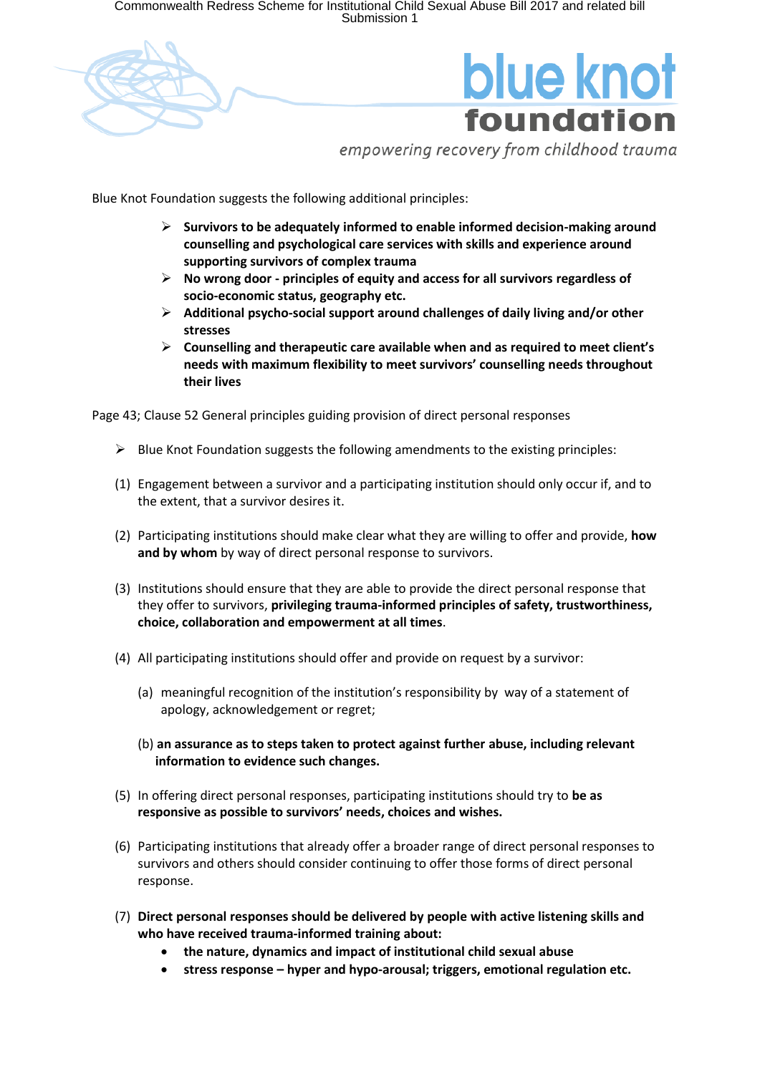Commonwealth Redress Scheme for Institutional Child Sexual Abuse Bill 2017 and related bill<br>Submission 1



empowering recovery from childhood trauma

Blue Knot Foundation suggests the following additional principles:

- **Survivors to be adequately informed to enable informed decision-making around counselling and psychological care services with skills and experience around supporting survivors of complex trauma**
- **No wrong door - principles of equity and access for all survivors regardless of socio-economic status, geography etc.**
- **Additional psycho-social support around challenges of daily living and/or other stresses**
- **Counselling and therapeutic care available when and as required to meet client's needs with maximum flexibility to meet survivors' counselling needs throughout their lives**

Page 43; Clause 52 General principles guiding provision of direct personal responses

- $\triangleright$  Blue Knot Foundation suggests the following amendments to the existing principles:
- (1) Engagement between a survivor and a participating institution should only occur if, and to the extent, that a survivor desires it.
- (2) Participating institutions should make clear what they are willing to offer and provide, **how and by whom** by way of direct personal response to survivors.
- (3) Institutions should ensure that they are able to provide the direct personal response that they offer to survivors, **privileging trauma-informed principles of safety, trustworthiness, choice, collaboration and empowerment at all times**.
- (4) All participating institutions should offer and provide on request by a survivor:
	- (a) meaningful recognition of the institution's responsibility by way of a statement of apology, acknowledgement or regret;
	- (b) **an assurance as to steps taken to protect against further abuse, including relevant information to evidence such changes.**
- (5) In offering direct personal responses, participating institutions should try to **be as responsive as possible to survivors' needs, choices and wishes.**
- (6) Participating institutions that already offer a broader range of direct personal responses to survivors and others should consider continuing to offer those forms of direct personal response.
- (7) **Direct personal responses should be delivered by people with active listening skills and who have received trauma-informed training about:**
	- **the nature, dynamics and impact of institutional child sexual abuse**
	- **stress response – hyper and hypo-arousal; triggers, emotional regulation etc.**